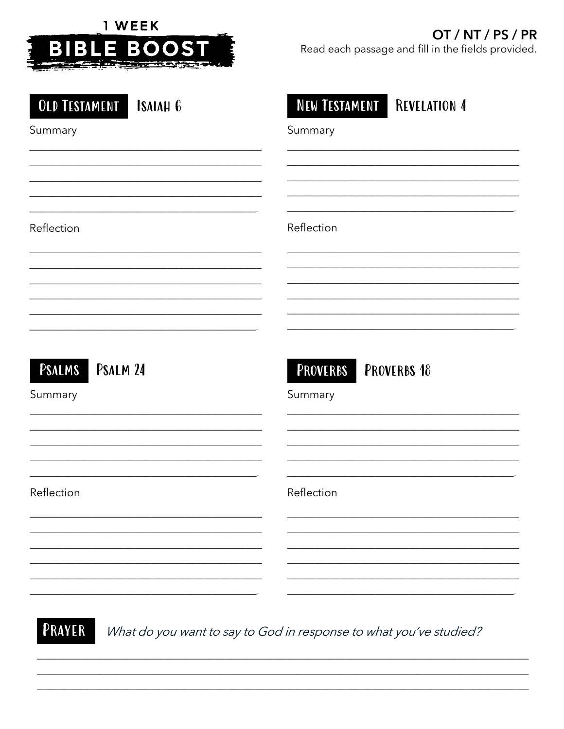

# OT / NT / PS / PR

Read each passage and fill in the fields provided.

| <b>OLD TESTAMENT ISAIAH 6</b> | <b>NEW TESTAMENT REVELATION 4</b> |
|-------------------------------|-----------------------------------|
| Summary                       | Summary                           |
|                               |                                   |
|                               |                                   |
| Reflection                    | Reflection                        |
|                               |                                   |
|                               |                                   |
|                               |                                   |
| PSALMS PSALM 24               | <b>PROVERBS PROVERBS 18</b>       |
| Summary                       | Summary                           |
|                               |                                   |
|                               |                                   |
| Reflection                    | Reflection                        |
|                               |                                   |
|                               |                                   |
|                               |                                   |